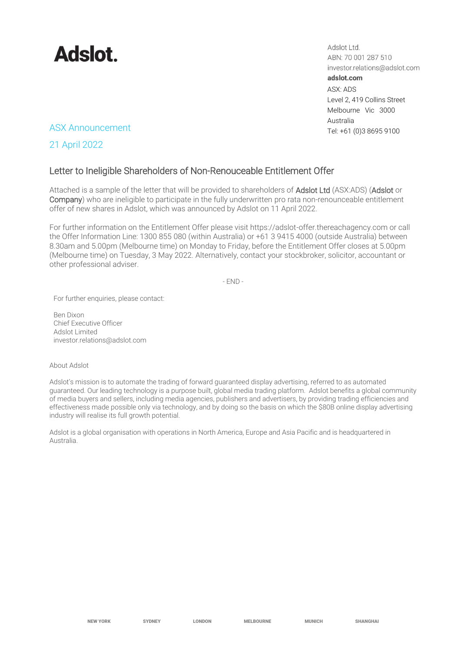

Adslot Ltd. ABN: 70 001 287 510 investor.relations@adslot.com adslot.com ASX: ADS Level 2, 419 Collins Street Melbourne Vic 3000 Australia

## ASX Announcement Tel: +61 (0)3 8695 9100

21 April 2022

## Letter to Ineligible Shareholders of Non-Renouceable Entitlement Offer

Attached is a sample of the letter that will be provided to shareholders of Adslot Ltd (ASX:ADS) (Adslot or Company) who are ineligible to participate in the fully underwritten pro rata non-renounceable entitlement offer of new shares in Adslot, which was announced by Adslot on 11 April 2022.

For further information on the Entitlement Offer please visit https://adslot-offer.thereachagency.com or call the Offer Information Line: 1300 855 080 (within Australia) or +61 3 9415 4000 (outside Australia) between 8.30am and 5.00pm (Melbourne time) on Monday to Friday, before the Entitlement Offer closes at 5.00pm (Melbourne time) on Tuesday, 3 May 2022. Alternatively, contact your stockbroker, solicitor, accountant or other professional adviser.

 $-FND -$ 

For further enquiries, please contact:

Ben Dixon Chief Executive Officer Adslot Limited [investor.relations@adslot.com](mailto:info@adslot.com.au)

## About Adslot

Adslot's mission is to automate the trading of forward guaranteed display advertising, referred to as automated guaranteed. Our leading technology is a purpose built, global media trading platform. Adslot benefits a global community of media buyers and sellers, including media agencies, publishers and advertisers, by providing trading efficiencies and effectiveness made possible only via technology, and by doing so the basis on which the \$80B online display advertising industry will realise its full growth potential.

Adslot is a global organisation with operations in North America, Europe and Asia Pacific and is headquartered in Australia.